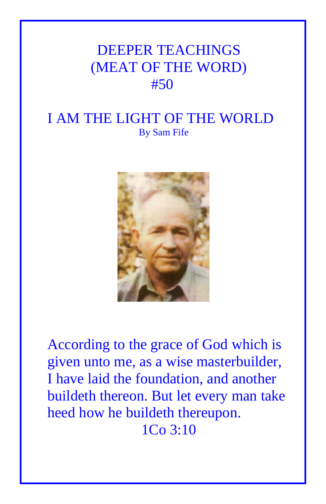## DEEPER TEACHINGS (MEAT OF THE WORD) #50

## I AM THE LIGHT OF THE WORLD By Sam Fife



According to the grace of God which is given unto me, as a wise masterbuilder, I have laid the foundation, and another buildeth thereon. But let every man take heed how he buildeth thereupon. 1Co 3:10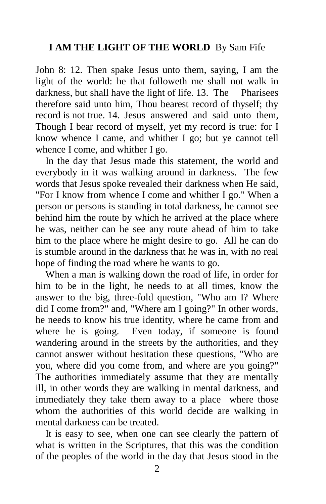## **I AM THE LIGHT OF THE WORLD** By Sam Fife

John 8: 12. Then spake Jesus unto them, saying, I am the light of the world: he that followeth me shall not walk in darkness, but shall have the light of life. 13. The Pharisees therefore said unto him, Thou bearest record of thyself; thy record is not true. 14. Jesus answered and said unto them, Though I bear record of myself, yet my record is true: for I know whence I came, and whither I go; but ye cannot tell whence I come, and whither I go.

 In the day that Jesus made this statement, the world and everybody in it was walking around in darkness. The few words that Jesus spoke revealed their darkness when He said, "For I know from whence I come and whither I go." When a person or persons is standing in total darkness, he cannot see behind him the route by which he arrived at the place where he was, neither can he see any route ahead of him to take him to the place where he might desire to go. All he can do is stumble around in the darkness that he was in, with no real hope of finding the road where he wants to go.

 When a man is walking down the road of life, in order for him to be in the light, he needs to at all times, know the answer to the big, three-fold question, "Who am I? Where did I come from?" and, "Where am I going?" In other words, he needs to know his true identity, where he came from and where he is going. Even today, if someone is found wandering around in the streets by the authorities, and they cannot answer without hesitation these questions, "Who are you, where did you come from, and where are you going?" The authorities immediately assume that they are mentally ill, in other words they are walking in mental darkness, and immediately they take them away to a place where those whom the authorities of this world decide are walking in mental darkness can be treated.

 It is easy to see, when one can see clearly the pattern of what is written in the Scriptures, that this was the condition of the peoples of the world in the day that Jesus stood in the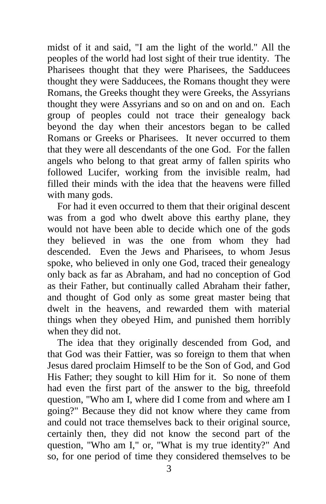midst of it and said, "I am the light of the world." All the peoples of the world had lost sight of their true identity. The Pharisees thought that they were Pharisees, the Sadducees thought they were Sadducees, the Romans thought they were Romans, the Greeks thought they were Greeks, the Assyrians thought they were Assyrians and so on and on and on. Each group of peoples could not trace their genealogy back beyond the day when their ancestors began to be called Romans or Greeks or Pharisees. It never occurred to them that they were all descendants of the one God. For the fallen angels who belong to that great army of fallen spirits who followed Lucifer, working from the invisible realm, had filled their minds with the idea that the heavens were filled with many gods.

 For had it even occurred to them that their original descent was from a god who dwelt above this earthy plane, they would not have been able to decide which one of the gods they believed in was the one from whom they had descended. Even the Jews and Pharisees, to whom Jesus spoke, who believed in only one God, traced their genealogy only back as far as Abraham, and had no conception of God as their Father, but continually called Abraham their father, and thought of God only as some great master being that dwelt in the heavens, and rewarded them with material things when they obeyed Him, and punished them horribly when they did not.

 The idea that they originally descended from God, and that God was their Fattier, was so foreign to them that when Jesus dared proclaim Himself to be the Son of God, and God His Father; they sought to kill Him for it. So none of them had even the first part of the answer to the big, threefold question, "Who am I, where did I come from and where am I going?" Because they did not know where they came from and could not trace themselves back to their original source, certainly then, they did not know the second part of the question, "Who am I," or, "What is my true identity?" And so, for one period of time they considered themselves to be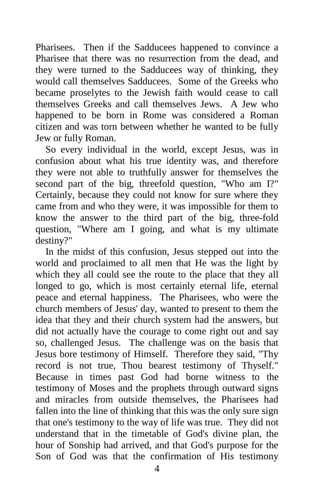Pharisees. Then if the Sadducees happened to convince a Pharisee that there was no resurrection from the dead, and they were turned to the Sadducees way of thinking, they would call themselves Sadducees. Some of the Greeks who became proselytes to the Jewish faith would cease to call themselves Greeks and call themselves Jews. A Jew who happened to be born in Rome was considered a Roman citizen and was torn between whether he wanted to be fully Jew or fully Roman.

 So every individual in the world, except Jesus, was in confusion about what his true identity was, and therefore they were not able to truthfully answer for themselves the second part of the big, threefold question, "Who am I?" Certainly, because they could not know for sure where they came from and who they were, it was impossible for them to know the answer to the third part of the big, three-fold question, "Where am I going, and what is my ultimate destiny?"

 In the midst of this confusion, Jesus stepped out into the world and proclaimed to all men that He was the light by which they all could see the route to the place that they all longed to go, which is most certainly eternal life, eternal peace and eternal happiness. The Pharisees, who were the church members of Jesus' day, wanted to present to them the idea that they and their church system had the answers, but did not actually have the courage to come right out and say so, challenged Jesus. The challenge was on the basis that Jesus bore testimony of Himself. Therefore they said, "Thy record is not true, Thou bearest testimony of Thyself." Because in times past God had borne witness to the testimony of Moses and the prophets through outward signs and miracles from outside themselves, the Pharisees had fallen into the line of thinking that this was the only sure sign that one's testimony to the way of life was true. They did not understand that in the timetable of God's divine plan, the hour of Sonship had arrived, and that God's purpose for the Son of God was that the confirmation of His testimony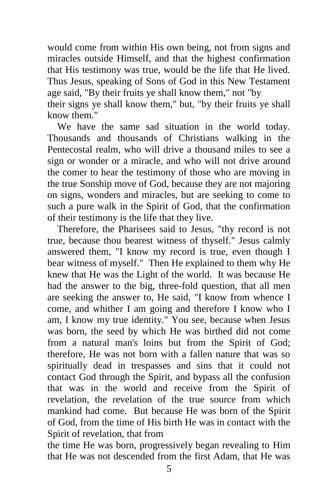would come from within His own being, not from signs and miracles outside Himself, and that the highest confirmation that His testimony was true, would be the life that He lived. Thus Jesus, speaking of Sons of God in this New Testament age said, "By their fruits ye shall know them," not "by

their signs ye shall know them," but, "by their fruits ye shall know them."

 We have the same sad situation in the world today. Thousands and thousands of Christians walking in the Pentecostal realm, who will drive a thousand miles to see a sign or wonder or a miracle, and who will not drive around the comer to hear the testimony of those who are moving in the true Sonship move of God, because they are not majoring on signs, wonders and miracles, but are seeking to come to such a pure walk in the Spirit of God, that the confirmation of their testimony is the life that they live.

 Therefore, the Pharisees said to Jesus, "thy record is not true, because thou bearest witness of thyself." Jesus calmly answered them, "I know my record is true, even though I bear witness of myself." Then He explained to them why He knew that He was the Light of the world. It was because He had the answer to the big, three-fold question, that all men are seeking the answer to, He said, "I know from whence I come, and whither I am going and therefore I know who I am*,* I know my true identity." You see, because when Jesus was born, the seed by which He was birthed did not come from a natural man's loins but from the Spirit of God; therefore, He was not born with a fallen nature that was so spiritually dead in trespasses and sins that it could not contact God through the Spirit, and bypass all the confusion that was in the world and receive from the Spirit of revelation, the revelation of the true source from which mankind had come. But because He was born of the Spirit of God, from the time of His birth He was in contact with the Spirit of revelation, that from

the time He was born, progressively began revealing to Him that He was not descended from the first Adam, that He was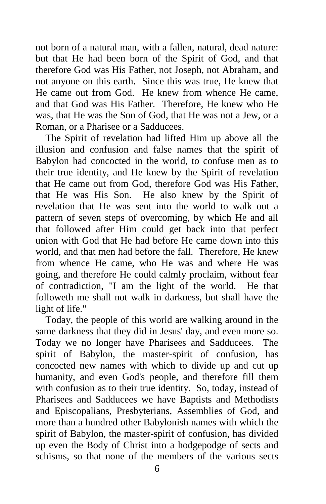not born of a natural man, with a fallen, natural, dead nature: but that He had been born of the Spirit of God, and that therefore God was His Father, not Joseph, not Abraham, and not anyone on this earth. Since this was true, He knew that He came out from God. He knew from whence He came, and that God was His Father. Therefore, He knew who He was, that He was the Son of God, that He was not a Jew, or a Roman, or a Pharisee or a Sadducees.

 The Spirit of revelation had lifted Him up above all the illusion and confusion and false names that the spirit of Babylon had concocted in the world, to confuse men as to their true identity, and He knew by the Spirit of revelation that He came out from God, therefore God was His Father, that He was His Son. He also knew by the Spirit of revelation that He was sent into the world to walk out a pattern of seven steps of overcoming, by which He and all that followed after Him could get back into that perfect union with God that He had before He came down into this world, and that men had before the fall. Therefore, He knew from whence He came, who He was and where He was going, and therefore He could calmly proclaim, without fear of contradiction, "I am the light of the world. He that followeth me shall not walk in darkness, but shall have the light of life."

 Today, the people of this world are walking around in the same darkness that they did in Jesus' day, and even more so. Today we no longer have Pharisees and Sadducees. The spirit of Babylon, the master-spirit of confusion, has concocted new names with which to divide up and cut up humanity, and even God's people, and therefore fill them with confusion as to their true identity. So, today, instead of Pharisees and Sadducees we have Baptists and Methodists and Episcopalians, Presbyterians, Assemblies of God, and more than a hundred other Babylonish names with which the spirit of Babylon, the master-spirit of confusion, has divided up even the Body of Christ into a hodgepodge of sects and schisms, so that none of the members of the various sects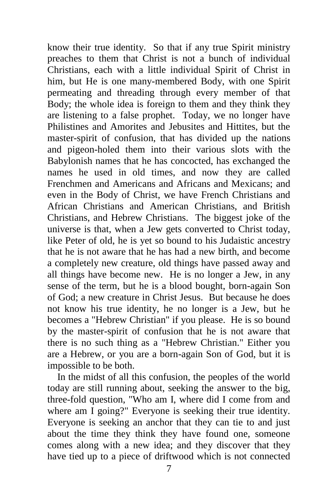know their true identity. So that if any true Spirit ministry preaches to them that Christ is not a bunch of individual Christians, each with a little individual Spirit of Christ in him, but He is one many-membered Body, with one Spirit permeating and threading through every member of that Body; the whole idea is foreign to them and they think they are listening to a false prophet. Today, we no longer have Philistines and Amorites and Jebusites and Hittites, but the master-spirit of confusion, that has divided up the nations and pigeon-holed them into their various slots with the Babylonish names that he has concocted, has exchanged the names he used in old times, and now they are called Frenchmen and Americans and Africans and Mexicans; and even in the Body of Christ, we have French Christians and African Christians and American Christians, and British Christians, and Hebrew Christians. The biggest joke of the universe is that, when a Jew gets converted to Christ today, like Peter of old, he is yet so bound to his Judaistic ancestry that he is not aware that he has had a new birth, and become a completely new creature, old things have passed away and all things have become new. He is no longer a Jew, in any sense of the term, but he is a blood bought, born-again Son of God; a new creature in Christ Jesus. But because he does not know his true identity, he no longer is a Jew, but he becomes a "Hebrew Christian" if you please. He is so bound by the master-spirit of confusion that he is not aware that there is no such thing as a "Hebrew Christian." Either you are a Hebrew, or you are a born-again Son of God, but it is impossible to be both.

 In the midst of all this confusion, the peoples of the world today are still running about, seeking the answer to the big, three-fold question, "Who am I, where did I come from and where am I going?" Everyone is seeking their true identity. Everyone is seeking an anchor that they can tie to and just about the time they think they have found one, someone comes along with a new idea; and they discover that they have tied up to a piece of driftwood which is not connected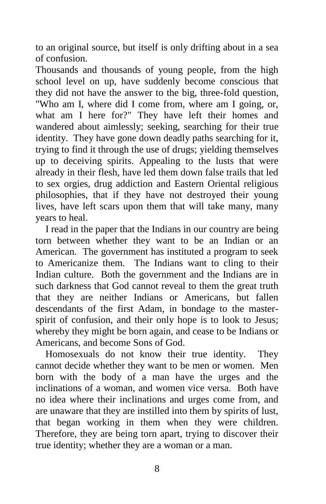to an original source, but itself is only drifting about in a sea of confusion.

Thousands and thousands of young people, from the high school level on up, have suddenly become conscious that they did not have the answer to the big, three-fold question, "Who am I, where did I come from, where am I going, or, what am I here for?" They have left their homes and wandered about aimlessly; seeking, searching for their true identity. They have gone down deadly paths searching for it, trying to find it through the use of drugs; yielding themselves up to deceiving spirits. Appealing to the lusts that were already in their flesh, have led them down false trails that led to sex orgies, drug addiction and Eastern Oriental religious philosophies, that if they have not destroyed their young lives, have left scars upon them that will take many, many years to heal.

 I read in the paper that the Indians in our country are being torn between whether they want to be an Indian or an American. The government has instituted a program to seek to Americanize them. The Indians want to cling to their Indian culture. Both the government and the Indians are in such darkness that God cannot reveal to them the great truth that they are neither Indians or Americans, but fallen descendants of the first Adam, in bondage to the masterspirit of confusion, and their only hope is to look to Jesus; whereby they might be born again, and cease to be Indians or Americans, and become Sons of God.

 Homosexuals do not know their true identity. They cannot decide whether they want to be men or women. Men born with the body of a man have the urges and the inclinations of a woman, and women vice versa. Both have no idea where their inclinations and urges come from, and are unaware that they are instilled into them by spirits of lust, that began working in them when they were children. Therefore, they are being torn apart, trying to discover their true identity; whether they are a woman or a man.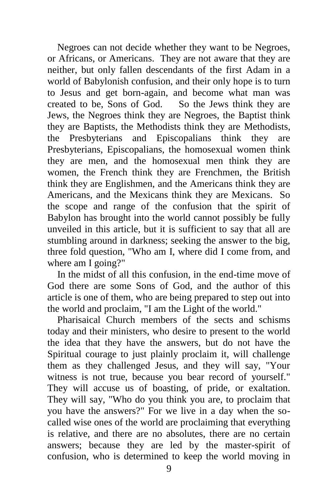Negroes can not decide whether they want to be Negroes, or Africans, or Americans. They are not aware that they are neither, but only fallen descendants of the first Adam in a world of Babylonish confusion, and their only hope is to turn to Jesus and get born-again, and become what man was created to be, Sons of God. So the Jews think they are Jews, the Negroes think they are Negroes, the Baptist think they are Baptists, the Methodists think they are Methodists, the Presbyterians and Episcopalians think they are Presbyterians, Episcopalians, the homosexual women think they are men, and the homosexual men think they are women, the French think they are Frenchmen, the British think they are Englishmen, and the Americans think they are Americans, and the Mexicans think they are Mexicans. So the scope and range of the confusion that the spirit of Babylon has brought into the world cannot possibly be fully unveiled in this article, but it is sufficient to say that all are stumbling around in darkness; seeking the answer to the big, three fold question, "Who am I, where did I come from, and where am I going?"

 In the midst of all this confusion, in the end-time move of God there are some Sons of God, and the author of this article is one of them, who are being prepared to step out into the world and proclaim, "I am the Light of the world."

 Pharisaical Church members of the sects and schisms today and their ministers, who desire to present to the world the idea that they have the answers, but do not have the Spiritual courage to just plainly proclaim it, will challenge them as they challenged Jesus, and they will say, "Your witness is not true, because you bear record of yourself." They will accuse us of boasting, of pride, or exaltation. They will say, "Who do you think you are, to proclaim that you have the answers?" For we live in a day when the socalled wise ones of the world are proclaiming that everything is relative, and there are no absolutes, there are no certain answers; because they are led by the master-spirit of confusion, who is determined to keep the world moving in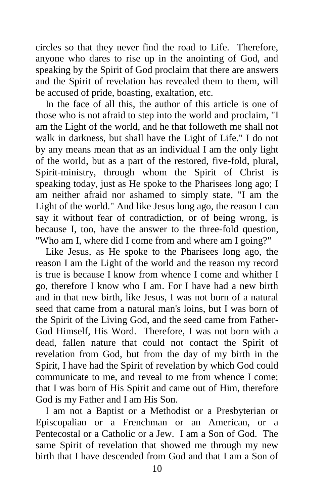circles so that they never find the road to Life. Therefore, anyone who dares to rise up in the anointing of God, and speaking by the Spirit of God proclaim that there are answers and the Spirit of revelation has revealed them to them, will be accused of pride, boasting, exaltation, etc.

 In the face of all this, the author of this article is one of those who is not afraid to step into the world and proclaim, "I am the Light of the world, and he that followeth me shall not walk in darkness, but shall have the Light of Life." I do not by any means mean that as an individual I am the only light of the world, but as a part of the restored, five-fold, plural, Spirit-ministry, through whom the Spirit of Christ is speaking today, just as He spoke to the Pharisees long ago; I am neither afraid nor ashamed to simply state, "I am the Light of the world." And like Jesus long ago, the reason I can say it without fear of contradiction, or of being wrong, is because I, too, have the answer to the three-fold question, "Who am I, where did I come from and where am I going?"

 Like Jesus, as He spoke to the Pharisees long ago, the reason I am the Light of the world and the reason my record is true is because I know from whence I come and whither I go, therefore I know who I am. For I have had a new birth and in that new birth, like Jesus, I was not born of a natural seed that came from a natural man's loins, but I was born of the Spirit of the Living God, and the seed came from Father-God Himself, His Word. Therefore, I was not born with a dead, fallen nature that could not contact the Spirit of revelation from God, but from the day of my birth in the Spirit, I have had the Spirit of revelation by which God could communicate to me, and reveal to me from whence I come; that I was born of His Spirit and came out of Him, therefore God is my Father and I am His Son.

 I am not a Baptist or a Methodist or a Presbyterian or Episcopalian or a Frenchman or an American, or a Pentecostal or a Catholic or a Jew. I am a Son of God. The same Spirit of revelation that showed me through my new birth that I have descended from God and that I am a Son of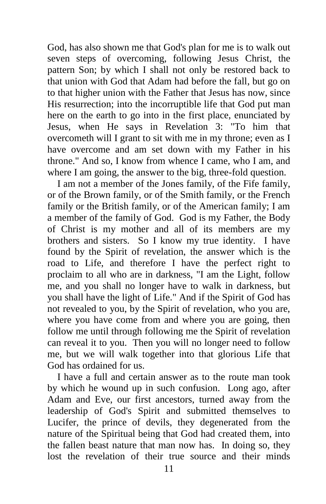God, has also shown me that God's plan for me is to walk out seven steps of overcoming, following Jesus Christ, the pattern Son; by which I shall not only be restored back to that union with God that Adam had before the fall, but go on to that higher union with the Father that Jesus has now, since His resurrection; into the incorruptible life that God put man here on the earth to go into in the first place, enunciated by Jesus, when He says in Revelation 3: "To him that overcometh will I grant to sit with me in my throne; even as I have overcome and am set down with my Father in his throne." And so, I know from whence I came, who I am, and where I am going, the answer to the big, three-fold question.

 I am not a member of the Jones family, of the Fife family, or of the Brown family, or of the Smith family, or the French family or the British family, or of the American family; I am a member of the family of God. God is my Father, the Body of Christ is my mother and all of its members are my brothers and sisters. So I know my true identity. I have found by the Spirit of revelation, the answer which is the road to Life, and therefore I have the perfect right to proclaim to all who are in darkness, "I am the Light, follow me, and you shall no longer have to walk in darkness, but you shall have the light of Life." And if the Spirit of God has not revealed to you, by the Spirit of revelation, who you are, where you have come from and where you are going, then follow me until through following me the Spirit of revelation can reveal it to you. Then you will no longer need to follow me, but we will walk together into that glorious Life that God has ordained for us.

 I have a full and certain answer as to the route man took by which he wound up in such confusion. Long ago, after Adam and Eve, our first ancestors, turned away from the leadership of God's Spirit and submitted themselves to Lucifer, the prince of devils, they degenerated from the nature of the Spiritual being that God had created them, into the fallen beast nature that man now has. In doing so, they lost the revelation of their true source and their minds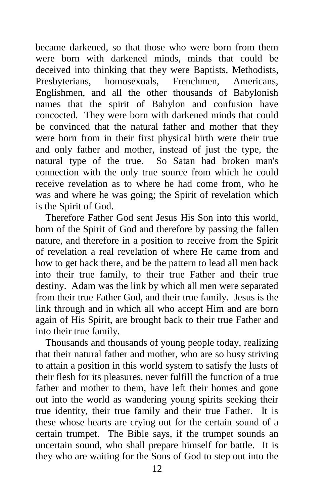became darkened, so that those who were born from them were born with darkened minds, minds that could be deceived into thinking that they were Baptists, Methodists, Presbyterians, homosexuals, Frenchmen, Americans, Englishmen, and all the other thousands of Babylonish names that the spirit of Babylon and confusion have concocted. They were born with darkened minds that could be convinced that the natural father and mother that they were born from in their first physical birth were their true and only father and mother, instead of just the type, the natural type of the true. So Satan had broken man's connection with the only true source from which he could receive revelation as to where he had come from, who he was and where he was going; the Spirit of revelation which is the Spirit of God.

 Therefore Father God sent Jesus His Son into this world, born of the Spirit of God and therefore by passing the fallen nature, and therefore in a position to receive from the Spirit of revelation a real revelation of where He came from and how to get back there, and be the pattern to lead all men back into their true family, to their true Father and their true destiny. Adam was the link by which all men were separated from their true Father God, and their true family. Jesus is the link through and in which all who accept Him and are born again of His Spirit, are brought back to their true Father and into their true family.

 Thousands and thousands of young people today, realizing that their natural father and mother, who are so busy striving to attain a position in this world system to satisfy the lusts of their flesh for its pleasures, never fulfill the function of a true father and mother to them, have left their homes and gone out into the world as wandering young spirits seeking their true identity, their true family and their true Father. It is these whose hearts are crying out for the certain sound of a certain trumpet. The Bible says, if the trumpet sounds an uncertain sound, who shall prepare himself for battle. It is they who are waiting for the Sons of God to step out into the